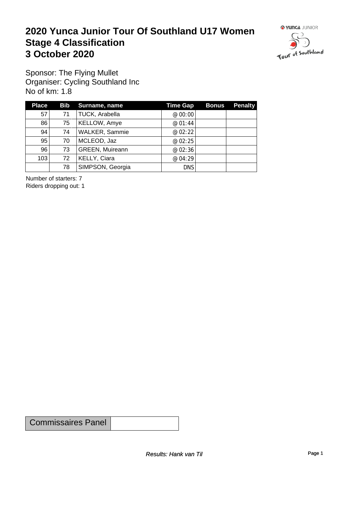### **2020 Yunca Junior Tour Of Southland U17 Women** Stage 4 Classification<br>3 October 2020 **3 October 2020**



Sponsor: The Flying Mullet Organiser: Cycling Southland Inc No of km: 1.8

| <b>Place</b> |    | Bib Surname, name      | <b>Time Gap</b> | <b>Bonus</b> | <b>Penalty</b> |
|--------------|----|------------------------|-----------------|--------------|----------------|
| 57           | 71 | TUCK, Arabella         | @ $00:00$       |              |                |
| 86           | 75 | KELLOW, Amye           | @ $01:44$       |              |                |
| 94           | 74 | <b>WALKER, Sammie</b>  | @ $02:22$       |              |                |
| 95           | 70 | MCLEOD, Jaz            | @ $02:25$       |              |                |
| 96           | 73 | <b>GREEN, Muireann</b> | @ 02:36         |              |                |
| 103          | 72 | KELLY, Ciara           | @04:29          |              |                |
|              | 78 | SIMPSON, Georgia       | <b>DNS</b>      |              |                |

Number of starters: 7 Riders dropping out: 1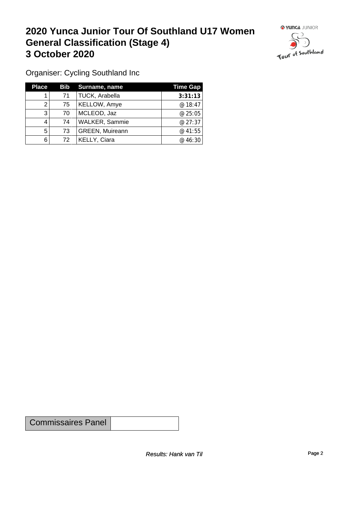### **2020 Yunca Junior Tour Of Southland U17 Women General Classification (Stage 4)**<br> **3 October 2020 3 October 2020**



Organiser: Cycling Southland Inc

| <b>Place</b> |    | <b>Bib</b> Surname, name | <b>Time Gap</b> |
|--------------|----|--------------------------|-----------------|
|              | 71 | TUCK, Arabella           | 3:31:13         |
|              | 75 | KELLOW, Amye             | @ 18:47         |
| 3            | 70 | MCLEOD, Jaz              | @ 25:05         |
|              | 74 | <b>WALKER, Sammie</b>    | @27:37          |
| 5            | 73 | <b>GREEN, Muireann</b>   | @ 41:55         |
| 6            | 72 | <b>KELLY, Ciara</b>      | @ 46:30         |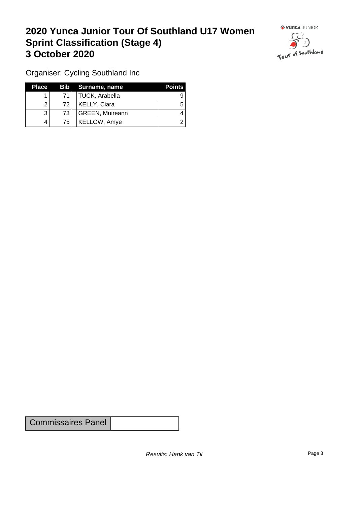# **2020 Yunca Junior Tour Of Southland U17 Women Sprint Classification (Stage 4) 3 October 2020**



Organiser: Cycling Southland Inc

| <b>Place</b> |    | Bib Surname, name | <b>Points</b> |
|--------------|----|-------------------|---------------|
|              | 71 | TUCK, Arabella    |               |
|              | 72 | KELLY, Ciara      |               |
| 3            | 73 | GREEN, Muireann   |               |
| 4            | 75 | KELLOW, Amye      |               |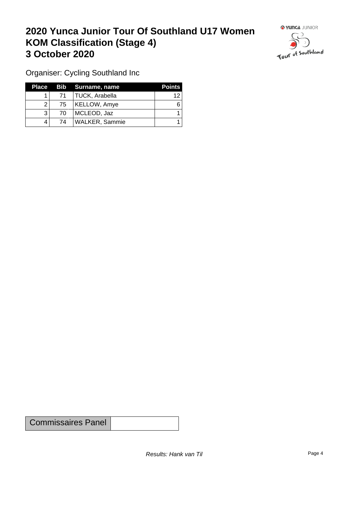# **2020 Yunca Junior Tour Of Southland U17 Women KOM Classification (Stage 4) 3 October 2020 1999 <b>1999 1999 1999 1999 1999 1999 1999 1999 1999 1999 1999 1999 1999 1999 1999 1999 1999 1999 1999 1999 1999 1999 1999 1999 1999 1999 1999 1999 19**



Organiser: Cycling Southland Inc

| Place |              | Bib Surname, name | <b>Points</b> |
|-------|--------------|-------------------|---------------|
|       | 71           | TUCK, Arabella    | 12            |
|       | $75^{\circ}$ | KELLOW, Amye      |               |
|       | 70           | MCLEOD, Jaz       |               |
| 4     | 74           | WALKER, Sammie    |               |